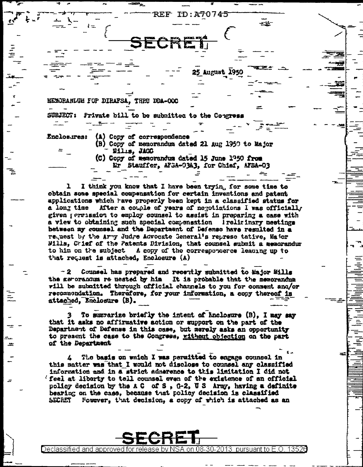

I think you know that I have been tryin, for some time to obtain some special compensation for certain inventions and patent applications which have properly been kept in a classified status for a long time After a couple of years of negotiations I was officially given permission to employ counsel to assist in preparing a case with a view to obtaining such special compensation I reliminary meetings between my counsel and the Department of Defense have resulted in a request by the Army Judge Advocate General's represe tative, Major Wills, Crief of the Patents Division, that counsel submit a memorandur to him on the subject a copy of the correspondence leading up to that request is attached, Enclosure (A)

 $-2$ Counsel has prepared and recently submitted to Major Mills the gerorandum re uested by him It is probable that the memorandum vill be submitted through official channels to you for comment ana/or recompondation. Therefore, for your information, a copy thereof is attached, Enclosure (B).

To summarize briefly the intent of Enclosure (B), I may say that it asks no affirmative action or support on the part of the Department of Defense in this case, but merely asks an opportunity to present the case to the Congress, without objection on the part of the Department

The basis on which I was permitted to engage counsel in 4 this matter was that I would not disclose to counsel any classified information and in a strict admerance to this limitation I did not (feel at liberty to tell counsel even of the existence of an official policy decision by the A C of S, G-2, U S Army, having a definite bearing on the cass, because that policy decision is classified Fourver, that decision, a copy of which is attached as an Secret